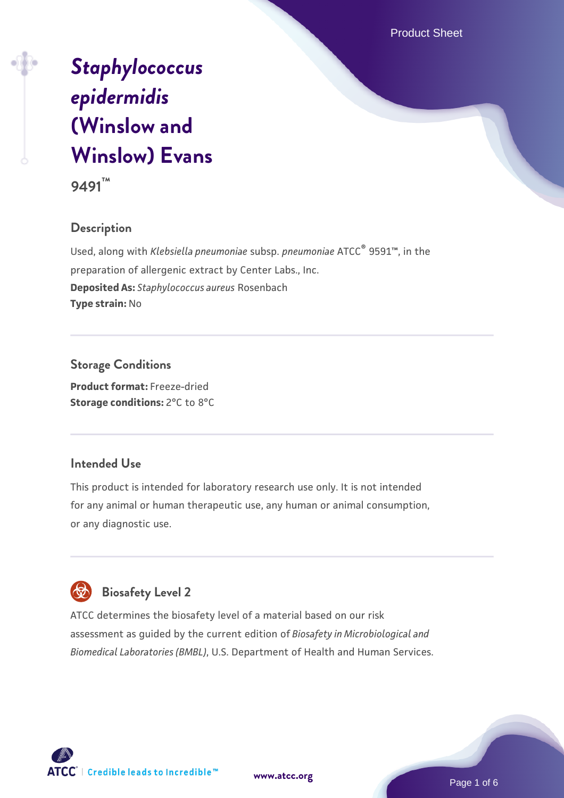Product Sheet

# *[Staphylococcus](https://www.atcc.org/products/9491) [epidermidis](https://www.atcc.org/products/9491)* **[\(Winslow and](https://www.atcc.org/products/9491) [Winslow\) Evans](https://www.atcc.org/products/9491)**



# **Description**

Used, along with *Klebsiella pneumoniae* subsp. *pneumoniae* ATCC® 9591™, in the preparation of allergenic extract by Center Labs., Inc. **Deposited As:** *Staphylococcus aureus* Rosenbach **Type strain:** No

# **Storage Conditions**

**Product format:** Freeze-dried **Storage conditions:** 2°C to 8°C

# **Intended Use**

This product is intended for laboratory research use only. It is not intended for any animal or human therapeutic use, any human or animal consumption, or any diagnostic use.

# **Biosafety Level 2**

ATCC determines the biosafety level of a material based on our risk assessment as guided by the current edition of *Biosafety in Microbiological and Biomedical Laboratories (BMBL)*, U.S. Department of Health and Human Services.

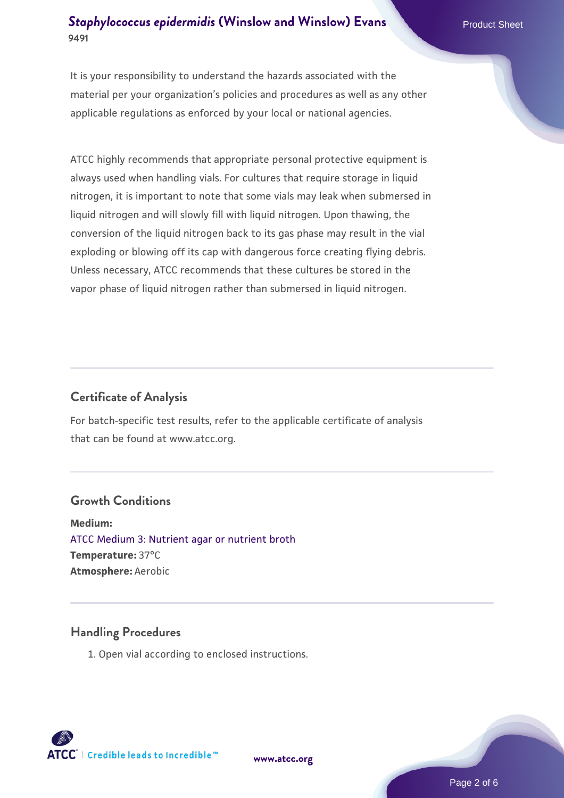# **[Staphylococcus epidermidis](https://www.atcc.org/products/9491) [\(Winslow and Winslow\) Evans](https://www.atcc.org/products/9491)** Product Sheet **9491**

It is your responsibility to understand the hazards associated with the material per your organization's policies and procedures as well as any other applicable regulations as enforced by your local or national agencies.

ATCC highly recommends that appropriate personal protective equipment is always used when handling vials. For cultures that require storage in liquid nitrogen, it is important to note that some vials may leak when submersed in liquid nitrogen and will slowly fill with liquid nitrogen. Upon thawing, the conversion of the liquid nitrogen back to its gas phase may result in the vial exploding or blowing off its cap with dangerous force creating flying debris. Unless necessary, ATCC recommends that these cultures be stored in the vapor phase of liquid nitrogen rather than submersed in liquid nitrogen.

# **Certificate of Analysis**

For batch-specific test results, refer to the applicable certificate of analysis that can be found at www.atcc.org.

#### **Growth Conditions**

**Medium:**  [ATCC Medium 3: Nutrient agar or nutrient broth](https://www.atcc.org/-/media/product-assets/documents/microbial-media-formulations/3/atcc-medium-3.pdf?rev=7510837507e64d849c62a46b5b2197a1) **Temperature:** 37°C **Atmosphere:** Aerobic

#### **Handling Procedures**

1. Open vial according to enclosed instructions.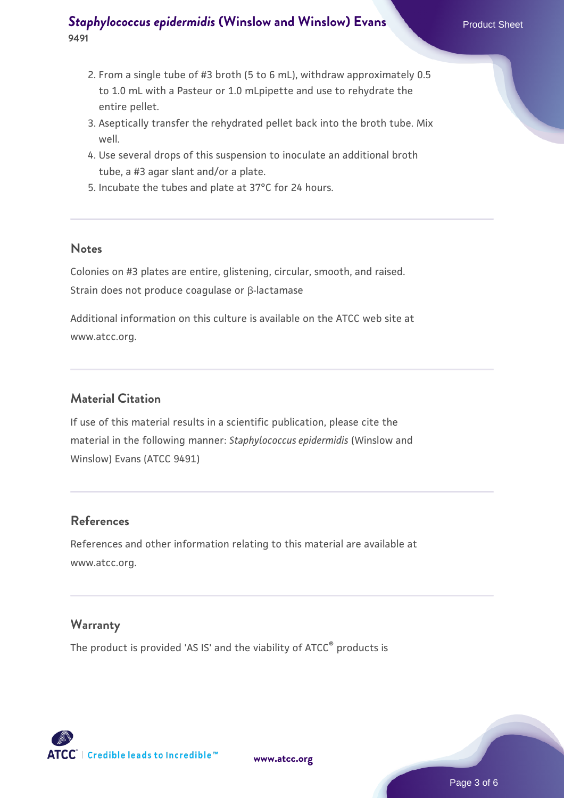# **[Staphylococcus epidermidis](https://www.atcc.org/products/9491) [\(Winslow and Winslow\) Evans](https://www.atcc.org/products/9491)** Product Sheet **9491**

- 2. From a single tube of #3 broth (5 to 6 mL), withdraw approximately 0.5 to 1.0 mL with a Pasteur or 1.0 mLpipette and use to rehydrate the entire pellet.
- 3. Aseptically transfer the rehydrated pellet back into the broth tube. Mix well.
- 4. Use several drops of this suspension to inoculate an additional broth tube, a #3 agar slant and/or a plate.
- 5. Incubate the tubes and plate at 37°C for 24 hours.

#### **Notes**

Colonies on #3 plates are entire, glistening, circular, smooth, and raised. Strain does not produce coagulase or β-lactamase

Additional information on this culture is available on the ATCC web site at www.atcc.org.

## **Material Citation**

If use of this material results in a scientific publication, please cite the material in the following manner: *Staphylococcus epidermidis* (Winslow and Winslow) Evans (ATCC 9491)

#### **References**

References and other information relating to this material are available at www.atcc.org.

#### **Warranty**

The product is provided 'AS IS' and the viability of ATCC<sup>®</sup> products is



**[www.atcc.org](http://www.atcc.org)**

Page 3 of 6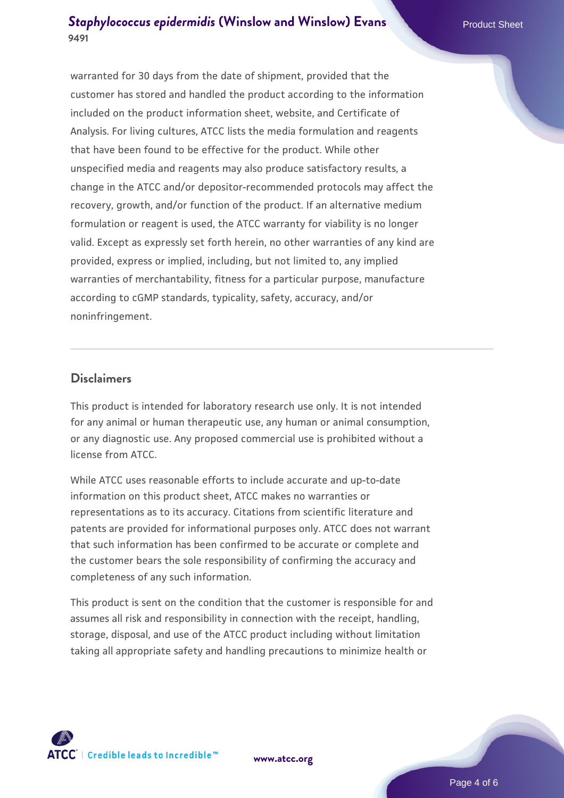# **[Staphylococcus epidermidis](https://www.atcc.org/products/9491) [\(Winslow and Winslow\) Evans](https://www.atcc.org/products/9491)** Product Sheet **9491**

warranted for 30 days from the date of shipment, provided that the customer has stored and handled the product according to the information included on the product information sheet, website, and Certificate of Analysis. For living cultures, ATCC lists the media formulation and reagents that have been found to be effective for the product. While other unspecified media and reagents may also produce satisfactory results, a change in the ATCC and/or depositor-recommended protocols may affect the recovery, growth, and/or function of the product. If an alternative medium formulation or reagent is used, the ATCC warranty for viability is no longer valid. Except as expressly set forth herein, no other warranties of any kind are provided, express or implied, including, but not limited to, any implied warranties of merchantability, fitness for a particular purpose, manufacture according to cGMP standards, typicality, safety, accuracy, and/or noninfringement.

#### **Disclaimers**

This product is intended for laboratory research use only. It is not intended for any animal or human therapeutic use, any human or animal consumption, or any diagnostic use. Any proposed commercial use is prohibited without a license from ATCC.

While ATCC uses reasonable efforts to include accurate and up-to-date information on this product sheet, ATCC makes no warranties or representations as to its accuracy. Citations from scientific literature and patents are provided for informational purposes only. ATCC does not warrant that such information has been confirmed to be accurate or complete and the customer bears the sole responsibility of confirming the accuracy and completeness of any such information.

This product is sent on the condition that the customer is responsible for and assumes all risk and responsibility in connection with the receipt, handling, storage, disposal, and use of the ATCC product including without limitation taking all appropriate safety and handling precautions to minimize health or



**[www.atcc.org](http://www.atcc.org)**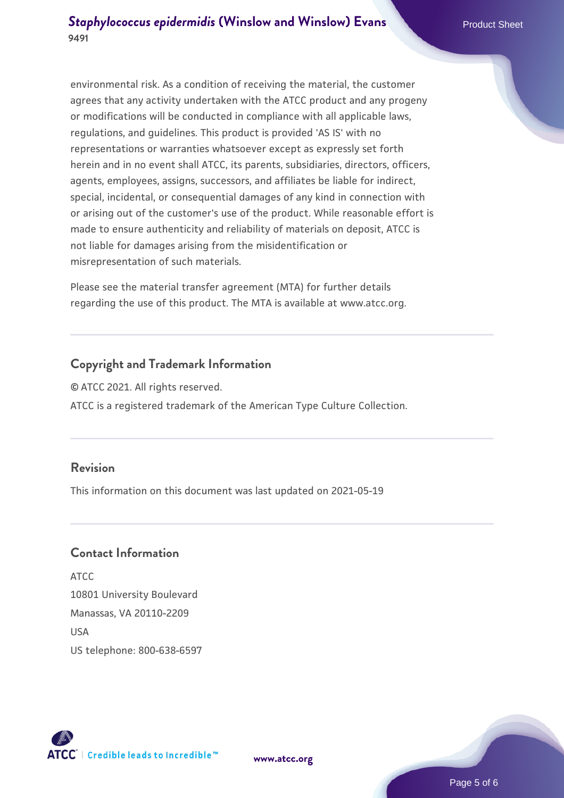environmental risk. As a condition of receiving the material, the customer agrees that any activity undertaken with the ATCC product and any progeny or modifications will be conducted in compliance with all applicable laws, regulations, and guidelines. This product is provided 'AS IS' with no representations or warranties whatsoever except as expressly set forth herein and in no event shall ATCC, its parents, subsidiaries, directors, officers, agents, employees, assigns, successors, and affiliates be liable for indirect, special, incidental, or consequential damages of any kind in connection with or arising out of the customer's use of the product. While reasonable effort is made to ensure authenticity and reliability of materials on deposit, ATCC is not liable for damages arising from the misidentification or misrepresentation of such materials.

Please see the material transfer agreement (MTA) for further details regarding the use of this product. The MTA is available at www.atcc.org.

#### **Copyright and Trademark Information**

© ATCC 2021. All rights reserved. ATCC is a registered trademark of the American Type Culture Collection.

#### **Revision**

This information on this document was last updated on 2021-05-19

# **Contact Information**

ATCC 10801 University Boulevard Manassas, VA 20110-2209 **IISA** US telephone: 800-638-6597



**[www.atcc.org](http://www.atcc.org)**